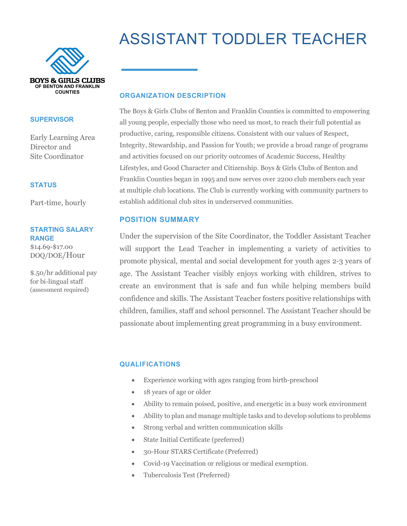# ASSISTANT TODDLER TEACHER



#### **SUPERVISOR**

Early Learning Area Director and Site Coordinator

#### **STATUS**

Part-time, hourly

# **STARTING SALARY RANGE**

\$14.69-\$17.00 DOQ/DOE/Hour

\$.50/hr additional pay for bi-lingual staff (assessment required)

#### **ORGANIZATION DESCRIPTION**

The Boys & Girls Clubs of Benton and Franklin Counties is committed to empowering all young people, especially those who need us most, to reach their full potential as productive, caring, responsible citizens. Consistent with our values of Respect, Integrity, Stewardship, and Passion for Youth; we provide a broad range of programs and activities focused on our priority outcomes of Academic Success, Healthy Lifestyles, and Good Character and Citizenship. Boys & Girls Clubs of Benton and Franklin Counties began in 1995 and now serves over 2200 club members each year at multiple club locations. The Club is currently working with community partners to establish additional club sites in underserved communities.

# **POSITION SUMMARY**

Under the supervision of the Site Coordinator, the Toddler Assistant Teacher will support the Lead Teacher in implementing a variety of activities to promote physical, mental and social development for youth ages 2-3 years of age. The Assistant Teacher visibly enjoys working with children, strives to create an environment that is safe and fun while helping members build confidence and skills. The Assistant Teacher fosters positive relationships with children, families, staff and school personnel. The Assistant Teacher should be passionate about implementing great programming in a busy environment.

## **QUALIFICATIONS**

- Experience working with ages ranging from birth-preschool
- 18 years of age or older
- Ability to remain poised, positive, and energetic in a busy work environment
- Ability to plan and manage multiple tasks and to develop solutions to problems
- Strong verbal and written communication skills
- State Initial Certificate (preferred)
- 30-Hour STARS Certificate (Preferred)
- Covid-19 Vaccination or religious or medical exemption.
- Tuberculosis Test (Preferred)